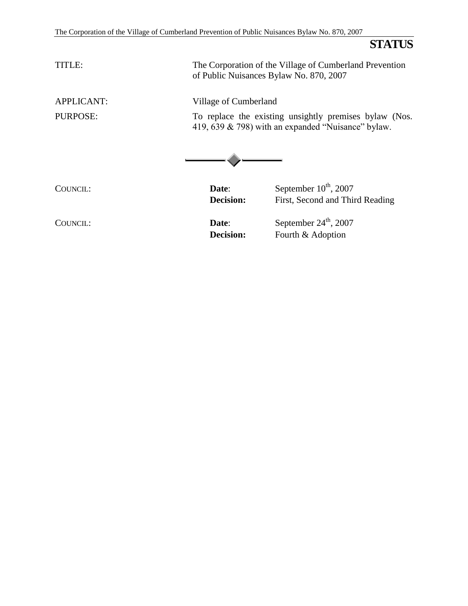**STATUS**

| TITLE:            | of Public Nuisances Bylaw No. 870, 2007 | The Corporation of the Village of Cumberland Prevention                                                         |
|-------------------|-----------------------------------------|-----------------------------------------------------------------------------------------------------------------|
| <b>APPLICANT:</b> | Village of Cumberland                   |                                                                                                                 |
| PURPOSE:          |                                         | To replace the existing unsightly premises bylaw (Nos.<br>419, 639 $\&$ 798) with an expanded "Nuisance" bylaw. |
| COUNCIL:          | Date:<br><b>Decision:</b>               | September $10^{th}$ , 2007<br>First, Second and Third Reading                                                   |
| COUNCIL:          | Date:<br><b>Decision:</b>               | September $24^{\text{th}}$ , 2007<br>Fourth & Adoption                                                          |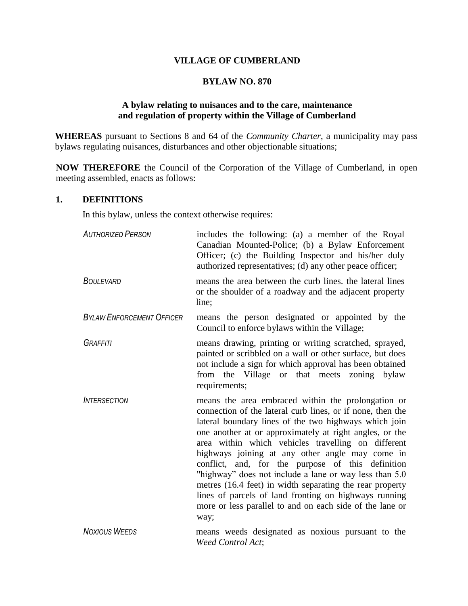#### **VILLAGE OF CUMBERLAND**

#### **BYLAW NO. 870**

#### **A bylaw relating to nuisances and to the care, maintenance and regulation of property within the Village of Cumberland**

**WHEREAS** pursuant to Sections 8 and 64 of the *Community Charter*, a municipality may pass bylaws regulating nuisances, disturbances and other objectionable situations;

**NOW THEREFORE** the Council of the Corporation of the Village of Cumberland, in open meeting assembled, enacts as follows:

#### **1. DEFINITIONS**

In this bylaw, unless the context otherwise requires:

| <b>AUTHORIZED PERSON</b>         | includes the following: (a) a member of the Royal<br>Canadian Mounted-Police; (b) a Bylaw Enforcement<br>Officer; (c) the Building Inspector and his/her duly<br>authorized representatives; (d) any other peace officer;                                                                                                                                                                                                                                                                                                                                                                                                                             |
|----------------------------------|-------------------------------------------------------------------------------------------------------------------------------------------------------------------------------------------------------------------------------------------------------------------------------------------------------------------------------------------------------------------------------------------------------------------------------------------------------------------------------------------------------------------------------------------------------------------------------------------------------------------------------------------------------|
| <b>BOULEVARD</b>                 | means the area between the curb lines, the lateral lines<br>or the shoulder of a roadway and the adjacent property<br>line;                                                                                                                                                                                                                                                                                                                                                                                                                                                                                                                           |
| <b>BYLAW ENFORCEMENT OFFICER</b> | means the person designated or appointed by the<br>Council to enforce bylaws within the Village;                                                                                                                                                                                                                                                                                                                                                                                                                                                                                                                                                      |
| <b>GRAFFITI</b>                  | means drawing, printing or writing scratched, sprayed,<br>painted or scribbled on a wall or other surface, but does<br>not include a sign for which approval has been obtained<br>from the Village or that meets zoning bylaw<br>requirements;                                                                                                                                                                                                                                                                                                                                                                                                        |
| <i><b>INTERSECTION</b></i>       | means the area embraced within the prolongation or<br>connection of the lateral curb lines, or if none, then the<br>lateral boundary lines of the two highways which join<br>one another at or approximately at right angles, or the<br>area within which vehicles travelling on different<br>highways joining at any other angle may come in<br>conflict, and, for the purpose of this definition<br>"highway" does not include a lane or way less than 5.0<br>metres (16.4 feet) in width separating the rear property<br>lines of parcels of land fronting on highways running<br>more or less parallel to and on each side of the lane or<br>way; |
| <b>NOXIOUS WEEDS</b>             | means weeds designated as noxious pursuant to the<br>Weed Control Act;                                                                                                                                                                                                                                                                                                                                                                                                                                                                                                                                                                                |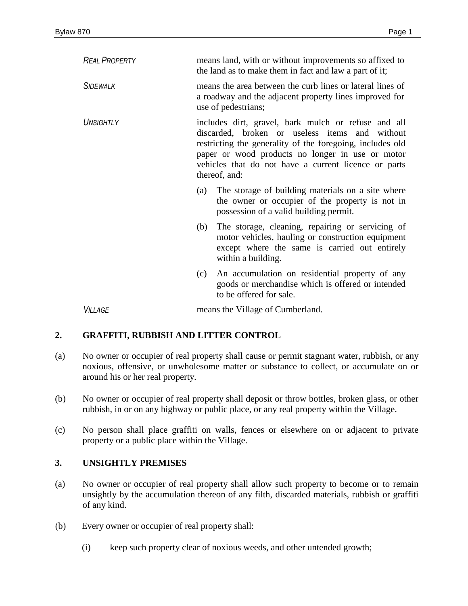| <b>REAL PROPERTY</b>  | means land, with or without improvements so affixed to<br>the land as to make them in fact and law a part of it;                                                                                                                                                                                |                                                                                                                                                                              |
|-----------------------|-------------------------------------------------------------------------------------------------------------------------------------------------------------------------------------------------------------------------------------------------------------------------------------------------|------------------------------------------------------------------------------------------------------------------------------------------------------------------------------|
| <b>SIDEWALK</b>       | means the area between the curb lines or lateral lines of<br>a roadway and the adjacent property lines improved for<br>use of pedestrians;                                                                                                                                                      |                                                                                                                                                                              |
| UNSIGHTLY             | includes dirt, gravel, bark mulch or refuse and all<br>discarded, broken or useless items and without<br>restricting the generality of the foregoing, includes old<br>paper or wood products no longer in use or motor<br>vehicles that do not have a current licence or parts<br>thereof, and: |                                                                                                                                                                              |
|                       | (a)                                                                                                                                                                                                                                                                                             | The storage of building materials on a site where<br>the owner or occupier of the property is not in<br>possession of a valid building permit.                               |
|                       | (b)                                                                                                                                                                                                                                                                                             | The storage, cleaning, repairing or servicing of<br>motor vehicles, hauling or construction equipment<br>except where the same is carried out entirely<br>within a building. |
|                       | (c)                                                                                                                                                                                                                                                                                             | An accumulation on residential property of any<br>goods or merchandise which is offered or intended<br>to be offered for sale.                                               |
| <i><b>VILLAGE</b></i> | means the Village of Cumberland.                                                                                                                                                                                                                                                                |                                                                                                                                                                              |

### **2. GRAFFITI, RUBBISH AND LITTER CONTROL**

- (a) No owner or occupier of real property shall cause or permit stagnant water, rubbish, or any noxious, offensive, or unwholesome matter or substance to collect, or accumulate on or around his or her real property.
- (b) No owner or occupier of real property shall deposit or throw bottles, broken glass, or other rubbish, in or on any highway or public place, or any real property within the Village.
- (c) No person shall place graffiti on walls, fences or elsewhere on or adjacent to private property or a public place within the Village.

### **3. UNSIGHTLY PREMISES**

- (a) No owner or occupier of real property shall allow such property to become or to remain unsightly by the accumulation thereon of any filth, discarded materials, rubbish or graffiti of any kind.
- (b) Every owner or occupier of real property shall:
	- (i) keep such property clear of noxious weeds, and other untended growth;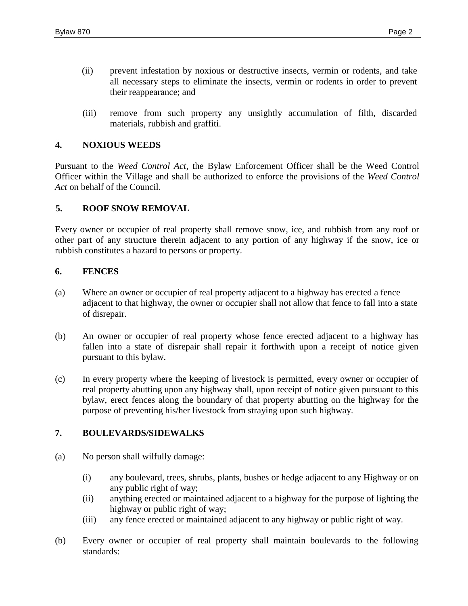- (ii) prevent infestation by noxious or destructive insects, vermin or rodents, and take all necessary steps to eliminate the insects, vermin or rodents in order to prevent their reappearance; and
- (iii) remove from such property any unsightly accumulation of filth, discarded materials, rubbish and graffiti.

#### **4. NOXIOUS WEEDS**

Pursuant to the *Weed Control Act*, the Bylaw Enforcement Officer shall be the Weed Control Officer within the Village and shall be authorized to enforce the provisions of the *Weed Control Act* on behalf of the Council.

#### **5. ROOF SNOW REMOVAL**

Every owner or occupier of real property shall remove snow, ice, and rubbish from any roof or other part of any structure therein adjacent to any portion of any highway if the snow, ice or rubbish constitutes a hazard to persons or property.

#### **6. FENCES**

- (a) Where an owner or occupier of real property adjacent to a highway has erected a fence adjacent to that highway, the owner or occupier shall not allow that fence to fall into a state of disrepair.
- (b) An owner or occupier of real property whose fence erected adjacent to a highway has fallen into a state of disrepair shall repair it forthwith upon a receipt of notice given pursuant to this bylaw.
- (c) In every property where the keeping of livestock is permitted, every owner or occupier of real property abutting upon any highway shall, upon receipt of notice given pursuant to this bylaw, erect fences along the boundary of that property abutting on the highway for the purpose of preventing his/her livestock from straying upon such highway.

#### **7. BOULEVARDS/SIDEWALKS**

- (a) No person shall wilfully damage:
	- (i) any boulevard, trees, shrubs, plants, bushes or hedge adjacent to any Highway or on any public right of way;
	- (ii) anything erected or maintained adjacent to a highway for the purpose of lighting the highway or public right of way;
	- (iii) any fence erected or maintained adjacent to any highway or public right of way.
- (b) Every owner or occupier of real property shall maintain boulevards to the following standards: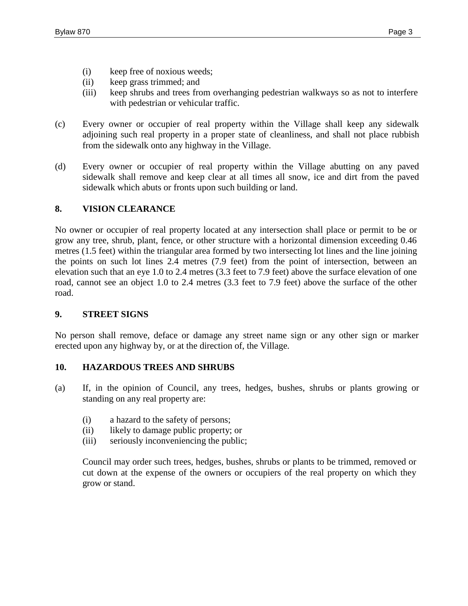- (i) keep free of noxious weeds;
- (ii) keep grass trimmed; and
- (iii) keep shrubs and trees from overhanging pedestrian walkways so as not to interfere with pedestrian or vehicular traffic.
- (c) Every owner or occupier of real property within the Village shall keep any sidewalk adjoining such real property in a proper state of cleanliness, and shall not place rubbish from the sidewalk onto any highway in the Village.
- (d) Every owner or occupier of real property within the Village abutting on any paved sidewalk shall remove and keep clear at all times all snow, ice and dirt from the paved sidewalk which abuts or fronts upon such building or land.

#### **8. VISION CLEARANCE**

No owner or occupier of real property located at any intersection shall place or permit to be or grow any tree, shrub, plant, fence, or other structure with a horizontal dimension exceeding 0.46 metres (1.5 feet) within the triangular area formed by two intersecting lot lines and the line joining the points on such lot lines 2.4 metres (7.9 feet) from the point of intersection, between an elevation such that an eye 1.0 to 2.4 metres (3.3 feet to 7.9 feet) above the surface elevation of one road, cannot see an object 1.0 to 2.4 metres (3.3 feet to 7.9 feet) above the surface of the other road.

#### **9. STREET SIGNS**

No person shall remove, deface or damage any street name sign or any other sign or marker erected upon any highway by, or at the direction of, the Village.

#### **10. HAZARDOUS TREES AND SHRUBS**

- (a) If, in the opinion of Council, any trees, hedges, bushes, shrubs or plants growing or standing on any real property are:
	- (i) a hazard to the safety of persons;
	- (ii) likely to damage public property; or
	- (iii) seriously inconveniencing the public;

Council may order such trees, hedges, bushes, shrubs or plants to be trimmed, removed or cut down at the expense of the owners or occupiers of the real property on which they grow or stand.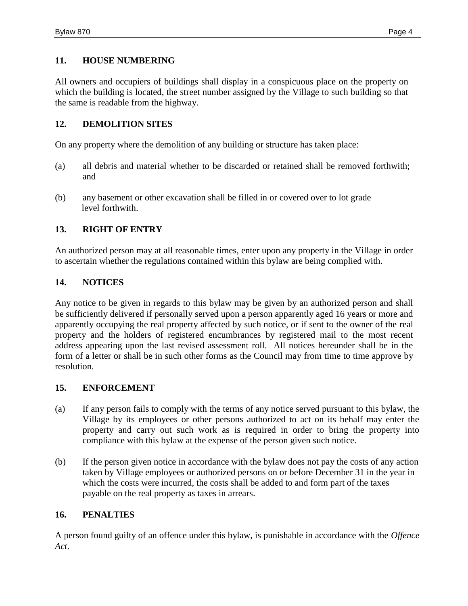#### **11. HOUSE NUMBERING**

All owners and occupiers of buildings shall display in a conspicuous place on the property on which the building is located, the street number assigned by the Village to such building so that the same is readable from the highway.

#### **12. DEMOLITION SITES**

On any property where the demolition of any building or structure has taken place:

- (a) all debris and material whether to be discarded or retained shall be removed forthwith; and
- (b) any basement or other excavation shall be filled in or covered over to lot grade level forthwith.

#### **13. RIGHT OF ENTRY**

An authorized person may at all reasonable times, enter upon any property in the Village in order to ascertain whether the regulations contained within this bylaw are being complied with.

#### **14. NOTICES**

Any notice to be given in regards to this bylaw may be given by an authorized person and shall be sufficiently delivered if personally served upon a person apparently aged 16 years or more and apparently occupying the real property affected by such notice, or if sent to the owner of the real property and the holders of registered encumbrances by registered mail to the most recent address appearing upon the last revised assessment roll. All notices hereunder shall be in the form of a letter or shall be in such other forms as the Council may from time to time approve by resolution.

#### **15. ENFORCEMENT**

- (a) If any person fails to comply with the terms of any notice served pursuant to this bylaw, the Village by its employees or other persons authorized to act on its behalf may enter the property and carry out such work as is required in order to bring the property into compliance with this bylaw at the expense of the person given such notice.
- (b) If the person given notice in accordance with the bylaw does not pay the costs of any action taken by Village employees or authorized persons on or before December 31 in the year in which the costs were incurred, the costs shall be added to and form part of the taxes payable on the real property as taxes in arrears.

#### **16. PENALTIES**

A person found guilty of an offence under this bylaw, is punishable in accordance with the *Offence Act*.